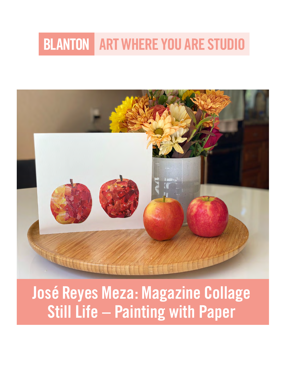# **BLANTON ART WHERE YOU ARE STUDIO**



# José Reyes Meza: Magazine Collage Still Life – Painting with Paper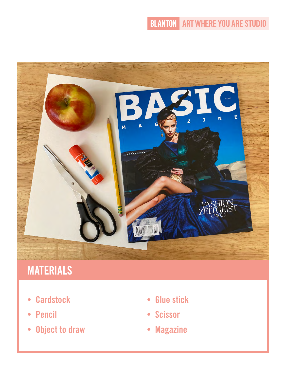## **BLANTON ART WHERE YOU ARE STUDIO**



# **MATERIALS**

- Cardstock
- Pencil
- Object to draw
- Glue stick
- Scissor
- Magazine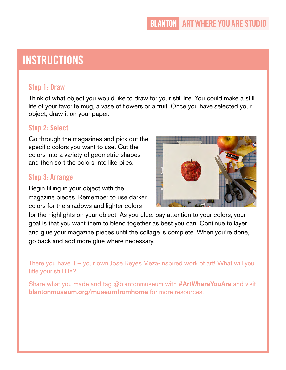## INSTRUCTIONS

#### Step 1: Draw

Think of what object you would like to draw for your still life. You could make a still life of your favorite mug, a vase of flowers or a fruit. Once you have selected your object, draw it on your paper.

#### Step 2: Select

Go through the magazines and pick out the specific colors you want to use. Cut the colors into a variety of geometric shapes and then sort the colors into like piles.

#### Step 3: Arrange

Begin filling in your object with the magazine pieces. Remember to use darker colors for the shadows and lighter colors



for the highlights on your object. As you glue, pay attention to your colors, your goal is that you want them to blend together as best you can. Continue to layer and glue your magazine pieces until the collage is complete. When you're done, go back and add more glue where necessary.

There you have it – your own José Reyes Meza-inspired work of art! What will you title your still life?

Share what you made and tag @blantonmuseum with **#ArtWhereYouAre** and visit [blantonmuseum.org/museumfromhome](http://blantonmuseum.org/museumfromhome) for more resources.